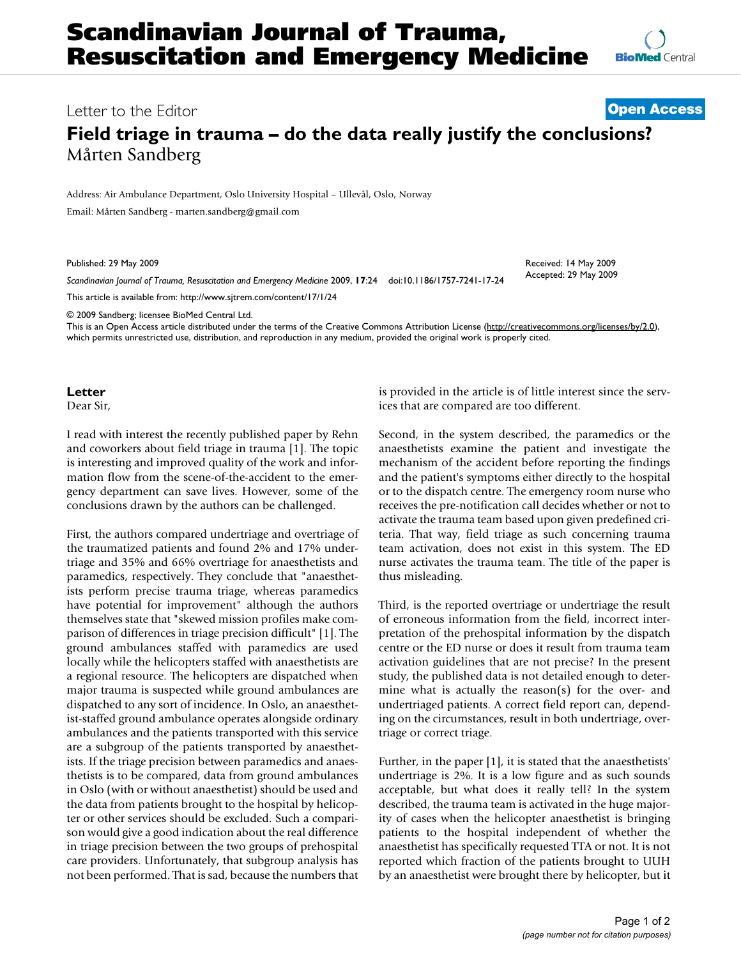## Letter to the Editor **[Open Access](http://www.biomedcentral.com/info/about/charter/)**

## **Field triage in trauma – do the data really justify the conclusions?** Mårten Sandberg

Address: Air Ambulance Department, Oslo University Hospital – Ullevål, Oslo, Norway

Email: Mårten Sandberg - marten.sandberg@gmail.com

Published: 29 May 2009

*Scandinavian Journal of Trauma, Resuscitation and Emergency Medicine* 2009, **17**:24 doi:10.1186/1757-7241-17-24

[This article is available from: http://www.sjtrem.com/content/17/1/24](http://www.sjtrem.com/content/17/1/24)

© 2009 Sandberg; licensee BioMed Central Ltd.

This is an Open Access article distributed under the terms of the Creative Commons Attribution License [\(http://creativecommons.org/licenses/by/2.0\)](http://creativecommons.org/licenses/by/2.0), which permits unrestricted use, distribution, and reproduction in any medium, provided the original work is properly cited.

**Letter**

Dear Sir,

I read with interest the recently published paper by Rehn and coworkers about field triage in trauma [\[1\]](#page-1-0). The topic is interesting and improved quality of the work and information flow from the scene-of-the-accident to the emergency department can save lives. However, some of the conclusions drawn by the authors can be challenged.

First, the authors compared undertriage and overtriage of the traumatized patients and found 2% and 17% undertriage and 35% and 66% overtriage for anaesthetists and paramedics, respectively. They conclude that "anaesthetists perform precise trauma triage, whereas paramedics have potential for improvement" although the authors themselves state that "skewed mission profiles make comparison of differences in triage precision difficult" [\[1\]](#page-1-0). The ground ambulances staffed with paramedics are used locally while the helicopters staffed with anaesthetists are a regional resource. The helicopters are dispatched when major trauma is suspected while ground ambulances are dispatched to any sort of incidence. In Oslo, an anaesthetist-staffed ground ambulance operates alongside ordinary ambulances and the patients transported with this service are a subgroup of the patients transported by anaesthetists. If the triage precision between paramedics and anaesthetists is to be compared, data from ground ambulances in Oslo (with or without anaesthetist) should be used and the data from patients brought to the hospital by helicopter or other services should be excluded. Such a comparison would give a good indication about the real difference in triage precision between the two groups of prehospital care providers. Unfortunately, that subgroup analysis has not been performed. That is sad, because the numbers that is provided in the article is of little interest since the services that are compared are too different.

Second, in the system described, the paramedics or the anaesthetists examine the patient and investigate the mechanism of the accident before reporting the findings and the patient's symptoms either directly to the hospital or to the dispatch centre. The emergency room nurse who receives the pre-notification call decides whether or not to activate the trauma team based upon given predefined criteria. That way, field triage as such concerning trauma team activation, does not exist in this system. The ED nurse activates the trauma team. The title of the paper is thus misleading.

Third, is the reported overtriage or undertriage the result of erroneous information from the field, incorrect interpretation of the prehospital information by the dispatch centre or the ED nurse or does it result from trauma team activation guidelines that are not precise? In the present study, the published data is not detailed enough to determine what is actually the reason(s) for the over- and undertriaged patients. A correct field report can, depending on the circumstances, result in both undertriage, overtriage or correct triage.

Further, in the paper [\[1\]](#page-1-0), it is stated that the anaesthetists' undertriage is 2%. It is a low figure and as such sounds acceptable, but what does it really tell? In the system described, the trauma team is activated in the huge majority of cases when the helicopter anaesthetist is bringing patients to the hospital independent of whether the anaesthetist has specifically requested TTA or not. It is not reported which fraction of the patients brought to UUH by an anaesthetist were brought there by helicopter, but it

Received: 14 May 2009 Accepted: 29 May 2009